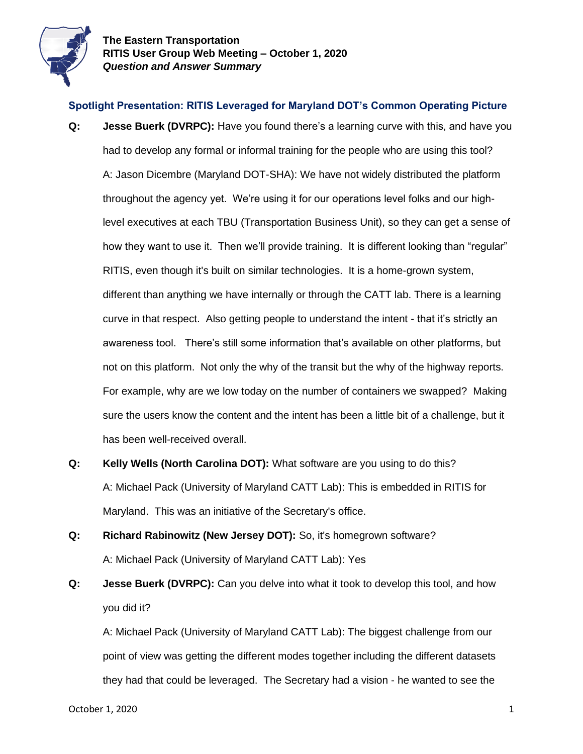

## **Spotlight Presentation: RITIS Leveraged for Maryland DOT's Common Operating Picture**

- **Q: Jesse Buerk (DVRPC):** Have you found there's a learning curve with this, and have you had to develop any formal or informal training for the people who are using this tool? A: Jason Dicembre (Maryland DOT-SHA): We have not widely distributed the platform throughout the agency yet. We're using it for our operations level folks and our highlevel executives at each TBU (Transportation Business Unit), so they can get a sense of how they want to use it. Then we'll provide training. It is different looking than "regular" RITIS, even though it's built on similar technologies. It is a home-grown system, different than anything we have internally or through the CATT lab. There is a learning curve in that respect. Also getting people to understand the intent - that it's strictly an awareness tool. There's still some information that's available on other platforms, but not on this platform. Not only the why of the transit but the why of the highway reports. For example, why are we low today on the number of containers we swapped? Making sure the users know the content and the intent has been a little bit of a challenge, but it has been well-received overall.
- **Q: Kelly Wells (North Carolina DOT):** What software are you using to do this? A: Michael Pack (University of Maryland CATT Lab): This is embedded in RITIS for Maryland. This was an initiative of the Secretary's office.
- **Q: Richard Rabinowitz (New Jersey DOT):** So, it's homegrown software? A: Michael Pack (University of Maryland CATT Lab): Yes
- **Q: Jesse Buerk (DVRPC):** Can you delve into what it took to develop this tool, and how you did it?

A: Michael Pack (University of Maryland CATT Lab): The biggest challenge from our point of view was getting the different modes together including the different datasets they had that could be leveraged. The Secretary had a vision - he wanted to see the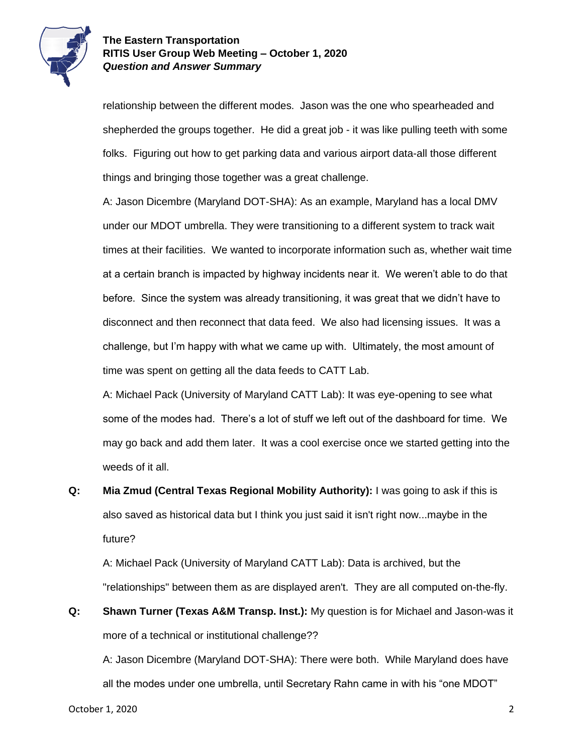

relationship between the different modes. Jason was the one who spearheaded and shepherded the groups together. He did a great job - it was like pulling teeth with some folks. Figuring out how to get parking data and various airport data-all those different things and bringing those together was a great challenge.

A: Jason Dicembre (Maryland DOT-SHA): As an example, Maryland has a local DMV under our MDOT umbrella. They were transitioning to a different system to track wait times at their facilities. We wanted to incorporate information such as, whether wait time at a certain branch is impacted by highway incidents near it. We weren't able to do that before. Since the system was already transitioning, it was great that we didn't have to disconnect and then reconnect that data feed. We also had licensing issues. It was a challenge, but I'm happy with what we came up with. Ultimately, the most amount of time was spent on getting all the data feeds to CATT Lab.

A: Michael Pack (University of Maryland CATT Lab): It was eye-opening to see what some of the modes had. There's a lot of stuff we left out of the dashboard for time. We may go back and add them later. It was a cool exercise once we started getting into the weeds of it all.

**Q: Mia Zmud (Central Texas Regional Mobility Authority):** I was going to ask if this is also saved as historical data but I think you just said it isn't right now...maybe in the future?

A: Michael Pack (University of Maryland CATT Lab): Data is archived, but the "relationships" between them as are displayed aren't. They are all computed on-the-fly.

**Q: Shawn Turner (Texas A&M Transp. Inst.):** My question is for Michael and Jason-was it more of a technical or institutional challenge??

A: Jason Dicembre (Maryland DOT-SHA): There were both. While Maryland does have all the modes under one umbrella, until Secretary Rahn came in with his "one MDOT"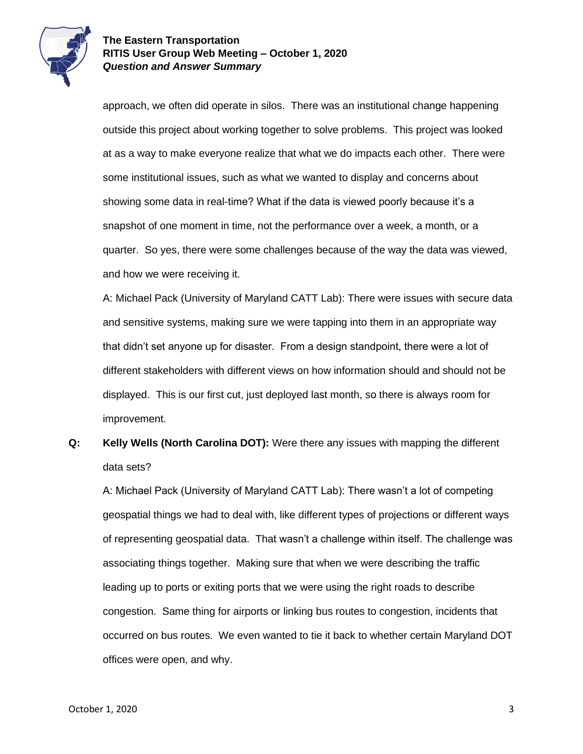

approach, we often did operate in silos. There was an institutional change happening outside this project about working together to solve problems. This project was looked at as a way to make everyone realize that what we do impacts each other. There were some institutional issues, such as what we wanted to display and concerns about showing some data in real-time? What if the data is viewed poorly because it's a snapshot of one moment in time, not the performance over a week, a month, or a quarter. So yes, there were some challenges because of the way the data was viewed, and how we were receiving it.

A: Michael Pack (University of Maryland CATT Lab): There were issues with secure data and sensitive systems, making sure we were tapping into them in an appropriate way that didn't set anyone up for disaster. From a design standpoint, there were a lot of different stakeholders with different views on how information should and should not be displayed. This is our first cut, just deployed last month, so there is always room for improvement.

**Q: Kelly Wells (North Carolina DOT):** Were there any issues with mapping the different data sets?

A: Michael Pack (University of Maryland CATT Lab): There wasn't a lot of competing geospatial things we had to deal with, like different types of projections or different ways of representing geospatial data. That wasn't a challenge within itself. The challenge was associating things together. Making sure that when we were describing the traffic leading up to ports or exiting ports that we were using the right roads to describe congestion. Same thing for airports or linking bus routes to congestion, incidents that occurred on bus routes. We even wanted to tie it back to whether certain Maryland DOT offices were open, and why.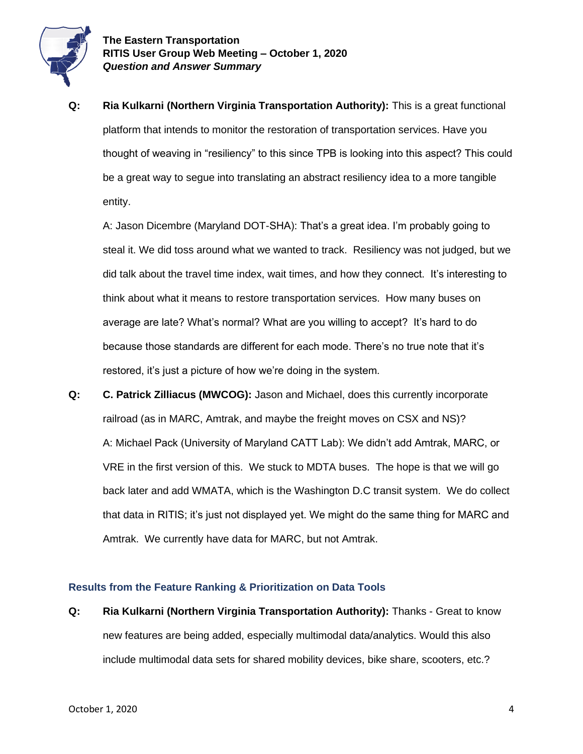

**Q: Ria Kulkarni (Northern Virginia Transportation Authority):** This is a great functional platform that intends to monitor the restoration of transportation services. Have you thought of weaving in "resiliency" to this since TPB is looking into this aspect? This could be a great way to segue into translating an abstract resiliency idea to a more tangible entity.

A: Jason Dicembre (Maryland DOT-SHA): That's a great idea. I'm probably going to steal it. We did toss around what we wanted to track. Resiliency was not judged, but we did talk about the travel time index, wait times, and how they connect. It's interesting to think about what it means to restore transportation services. How many buses on average are late? What's normal? What are you willing to accept? It's hard to do because those standards are different for each mode. There's no true note that it's restored, it's just a picture of how we're doing in the system.

**Q: C. Patrick Zilliacus (MWCOG):** Jason and Michael, does this currently incorporate railroad (as in MARC, Amtrak, and maybe the freight moves on CSX and NS)? A: Michael Pack (University of Maryland CATT Lab): We didn't add Amtrak, MARC, or VRE in the first version of this. We stuck to MDTA buses. The hope is that we will go back later and add WMATA, which is the Washington D.C transit system. We do collect that data in RITIS; it's just not displayed yet. We might do the same thing for MARC and Amtrak. We currently have data for MARC, but not Amtrak.

#### **Results from the Feature Ranking & Prioritization on Data Tools**

**Q: Ria Kulkarni (Northern Virginia Transportation Authority):** Thanks - Great to know new features are being added, especially multimodal data/analytics. Would this also include multimodal data sets for shared mobility devices, bike share, scooters, etc.?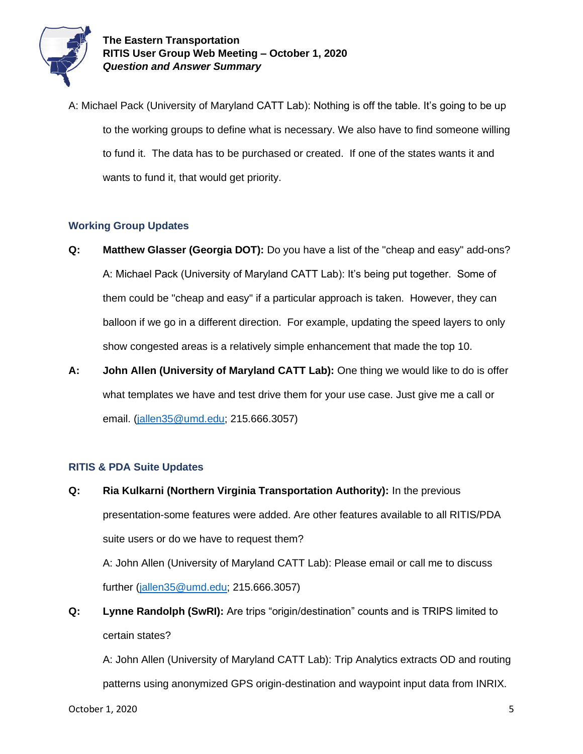

A: Michael Pack (University of Maryland CATT Lab): Nothing is off the table. It's going to be up to the working groups to define what is necessary. We also have to find someone willing to fund it. The data has to be purchased or created. If one of the states wants it and wants to fund it, that would get priority.

# **Working Group Updates**

- **Q: Matthew Glasser (Georgia DOT):** Do you have a list of the "cheap and easy" add-ons? A: Michael Pack (University of Maryland CATT Lab): It's being put together. Some of them could be "cheap and easy" if a particular approach is taken. However, they can balloon if we go in a different direction. For example, updating the speed layers to only show congested areas is a relatively simple enhancement that made the top 10.
- **A: John Allen (University of Maryland CATT Lab):** One thing we would like to do is offer what templates we have and test drive them for your use case. Just give me a call or email. [\(jallen35@umd.edu;](mailto:jallen35@umd.edu) 215.666.3057)

# **RITIS & PDA Suite Updates**

**Q: Ria Kulkarni (Northern Virginia Transportation Authority):** In the previous presentation-some features were added. Are other features available to all RITIS/PDA suite users or do we have to request them?

A: John Allen (University of Maryland CATT Lab): Please email or call me to discuss further [\(jallen35@umd.edu;](mailto:jallen35@umd.edu) 215.666.3057)

**Q: Lynne Randolph (SwRI):** Are trips "origin/destination" counts and is TRIPS limited to certain states?

A: John Allen (University of Maryland CATT Lab): Trip Analytics extracts OD and routing patterns using anonymized GPS origin-destination and waypoint input data from INRIX.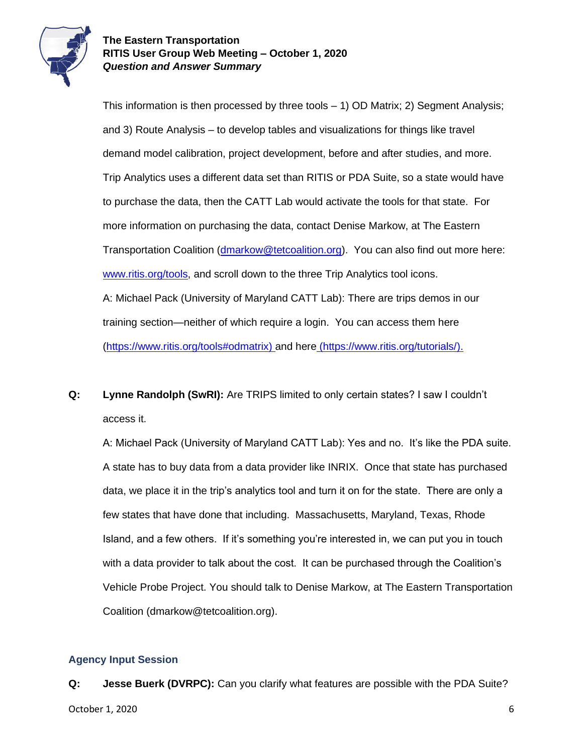

This information is then processed by three tools  $-1$ ) OD Matrix; 2) Segment Analysis; and 3) Route Analysis – to develop tables and visualizations for things like travel demand model calibration, project development, before and after studies, and more. Trip Analytics uses a different data set than RITIS or PDA Suite, so a state would have to purchase the data, then the CATT Lab would activate the tools for that state. For more information on purchasing the data, contact Denise Markow, at The Eastern Transportation Coalition [\(dmarkow@tetcoalition.org\)](mailto:dmarkow@tetcoalition.org). You can also find out more here: [www.ritis.org/tools,](http://www.ritis.org/tools) and scroll down to the three Trip Analytics tool icons. A: Michael Pack (University of Maryland CATT Lab): There are trips demos in our training section—neither of which require a login. You can access them here [\(https://www.ritis.org/tools#odmatrix\)](https://www.ritis.org/tools#odmatrix) and here [\(https://www.ritis.org/tutorials/\)](https://www.ritis.org/tutorials/).

**Q: Lynne Randolph (SwRI):** Are TRIPS limited to only certain states? I saw I couldn't access it.

A: Michael Pack (University of Maryland CATT Lab): Yes and no. It's like the PDA suite. A state has to buy data from a data provider like INRIX. Once that state has purchased data, we place it in the trip's analytics tool and turn it on for the state. There are only a few states that have done that including. Massachusetts, Maryland, Texas, Rhode Island, and a few others. If it's something you're interested in, we can put you in touch with a data provider to talk about the cost. It can be purchased through the Coalition's Vehicle Probe Project. You should talk to Denise Markow, at The Eastern Transportation Coalition (dmarkow@tetcoalition.org).

#### **Agency Input Session**

October 1, 2020 6 **Q: Jesse Buerk (DVRPC):** Can you clarify what features are possible with the PDA Suite?